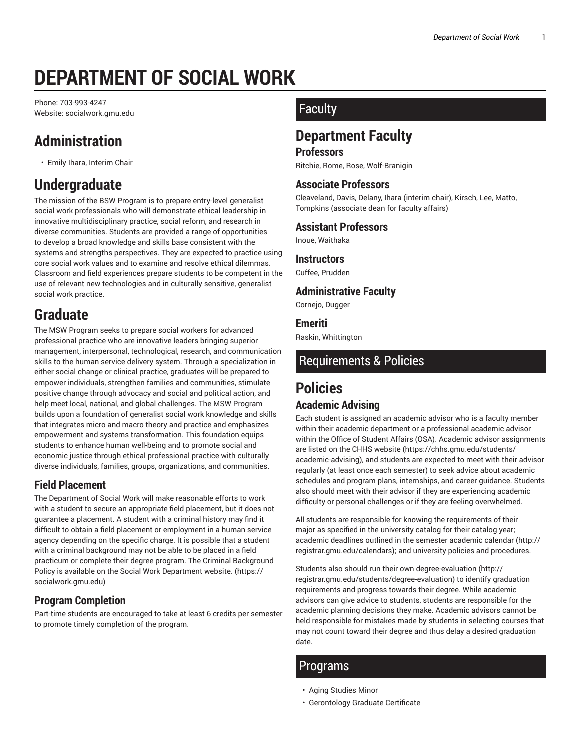# **DEPARTMENT OF SOCIAL WORK**

Phone: 703-993-4247 Website: socialwork.gmu.edu

# **Administration**

• Emily Ihara, Interim Chair

# **Undergraduate**

The mission of the BSW Program is to prepare entry-level generalist social work professionals who will demonstrate ethical leadership in innovative multidisciplinary practice, social reform, and research in diverse communities. Students are provided a range of opportunities to develop a broad knowledge and skills base consistent with the systems and strengths perspectives. They are expected to practice using core social work values and to examine and resolve ethical dilemmas. Classroom and field experiences prepare students to be competent in the use of relevant new technologies and in culturally sensitive, generalist social work practice.

## **Graduate**

The MSW Program seeks to prepare social workers for advanced professional practice who are innovative leaders bringing superior management, interpersonal, technological, research, and communication skills to the human service delivery system. Through a specialization in either social change or clinical practice, graduates will be prepared to empower individuals, strengthen families and communities, stimulate positive change through advocacy and social and political action, and help meet local, national, and global challenges. The MSW Program builds upon a foundation of generalist social work knowledge and skills that integrates micro and macro theory and practice and emphasizes empowerment and systems transformation. This foundation equips students to enhance human well-being and to promote social and economic justice through ethical professional practice with culturally diverse individuals, families, groups, organizations, and communities.

### **Field Placement**

The Department of Social Work will make reasonable efforts to work with a student to secure an appropriate field placement, but it does not guarantee a placement. A student with a criminal history may find it difficult to obtain a field placement or employment in a human service agency depending on the specific charge. It is possible that a student with a criminal background may not be able to be placed in a field practicum or complete their degree program. The Criminal Background Policy is available on the Social Work Department website. (https:// socialwork.gmu.edu)

### **Program Completion**

Part-time students are encouraged to take at least 6 credits per semester to promote timely completion of the program.

### **Faculty**

## **Department Faculty**

#### **Professors**

Ritchie, Rome, Rose, Wolf-Branigin

#### **Associate Professors**

Cleaveland, Davis, Delany, Ihara (interim chair), Kirsch, Lee, Matto, Tompkins (associate dean for faculty affairs)

#### **Assistant Professors**

Inoue, Waithaka

#### **Instructors**

Cuffee, Prudden

#### **Administrative Faculty**

Cornejo, Dugger

#### **Emeriti**

Raskin, Whittington

### Requirements & Policies

# **Policies**

#### **Academic Advising**

Each student is assigned an academic advisor who is a faculty member within their academic department or a professional academic advisor within the Office of Student Affairs (OSA). Academic advisor assignments are listed on the CHHS website (https://chhs.gmu.edu/students/ academic-advising), and students are expected to meet with their advisor regularly (at least once each semester) to seek advice about academic schedules and program plans, internships, and career guidance. Students also should meet with their advisor if they are experiencing academic difficulty or personal challenges or if they are feeling overwhelmed.

All students are responsible for knowing the requirements of their major as specified in the university catalog for their catalog year; academic deadlines outlined in the semester academic calendar (http:// registrar.gmu.edu/calendars); and university policies and procedures.

Students also should run their own degree-evaluation (http:// registrar.gmu.edu/students/degree-evaluation) to identify graduation requirements and progress towards their degree. While academic advisors can give advice to students, students are responsible for the academic planning decisions they make. Academic advisors cannot be held responsible for mistakes made by students in selecting courses that may not count toward their degree and thus delay a desired graduation date.

### Programs

- Aging Studies Minor
- Gerontology Graduate Certificate